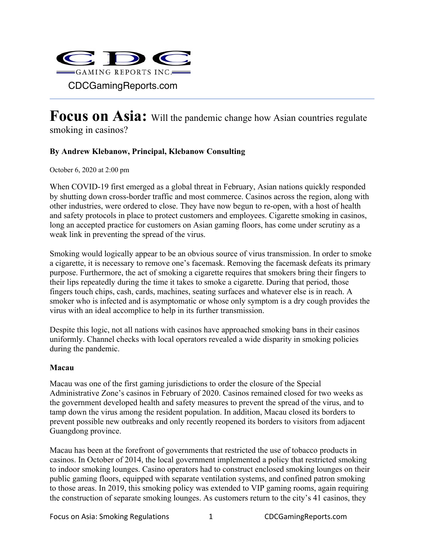

# **Focus on Asia:** Will the pandemic change how Asian countries regulate smoking in casinos?

## **By Andrew Klebanow, Principal, Klebanow Consulting**

October 6, 2020 at 2:00 pm

When COVID-19 first emerged as a global threat in February, Asian nations quickly responded by shutting down cross-border traffic and most commerce. Casinos across the region, along with other industries, were ordered to close. They have now begun to re-open, with a host of health and safety protocols in place to protect customers and employees. Cigarette smoking in casinos, long an accepted practice for customers on Asian gaming floors, has come under scrutiny as a weak link in preventing the spread of the virus.

Smoking would logically appear to be an obvious source of virus transmission. In order to smoke a cigarette, it is necessary to remove one's facemask. Removing the facemask defeats its primary purpose. Furthermore, the act of smoking a cigarette requires that smokers bring their fingers to their lips repeatedly during the time it takes to smoke a cigarette. During that period, those fingers touch chips, cash, cards, machines, seating surfaces and whatever else is in reach. A smoker who is infected and is asymptomatic or whose only symptom is a dry cough provides the virus with an ideal accomplice to help in its further transmission.

Despite this logic, not all nations with casinos have approached smoking bans in their casinos uniformly. Channel checks with local operators revealed a wide disparity in smoking policies during the pandemic.

#### **Macau**

Macau was one of the first gaming jurisdictions to order the closure of the Special Administrative Zone's casinos in February of 2020. Casinos remained closed for two weeks as the government developed health and safety measures to prevent the spread of the virus, and to tamp down the virus among the resident population. In addition, Macau closed its borders to prevent possible new outbreaks and only recently reopened its borders to visitors from adjacent Guangdong province.

Macau has been at the forefront of governments that restricted the use of tobacco products in casinos. In October of 2014, the local government implemented a policy that restricted smoking to indoor smoking lounges. Casino operators had to construct enclosed smoking lounges on their public gaming floors, equipped with separate ventilation systems, and confined patron smoking to those areas. In 2019, this smoking policy was extended to VIP gaming rooms, again requiring the construction of separate smoking lounges. As customers return to the city's 41 casinos, they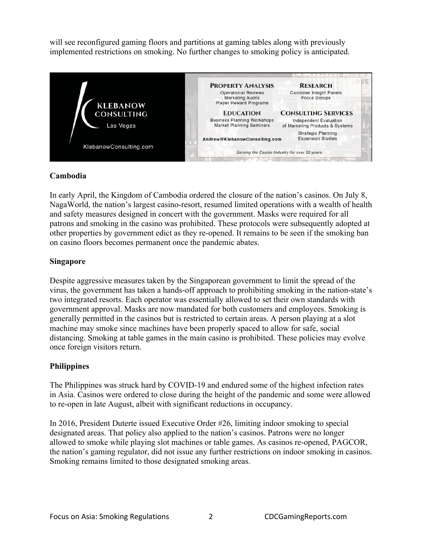will see reconfigured gaming floors and partitions at gaming tables along with previously implemented restrictions on smoking. No further changes to smoking policy is anticipated.



## **Cambodia**

In early April, the Kingdom of Cambodia ordered the closure of the nation's casinos. On July 8, NagaWorld, the nation's largest casino-resort, resumed limited operations with a wealth of health and safety measures designed in concert with the government. Masks were required for all patrons and smoking in the casino was prohibited. These protocols were subsequently adopted at other properties by government edict as they re-opened. It remains to be seen if the smoking ban on casino floors becomes permanent once the pandemic abates.

## **Singapore**

Despite aggressive measures taken by the Singaporean government to limit the spread of the virus, the government has taken a hands-off approach to prohibiting smoking in the nation-state's two integrated resorts. Each operator was essentially allowed to set their own standards with government approval. Masks are now mandated for both customers and employees. Smoking is generally permitted in the casinos but is restricted to certain areas. A person playing at a slot machine may smoke since machines have been properly spaced to allow for safe, social distancing. Smoking at table games in the main casino is prohibited. These policies may evolve once foreign visitors return.

## **Philippines**

The Philippines was struck hard by COVID-19 and endured some of the highest infection rates in Asia. Casinos were ordered to close during the height of the pandemic and some were allowed to re-open in late August, albeit with significant reductions in occupancy.

In 2016, President Duterte issued Executive Order #26, limiting indoor smoking to special designated areas. That policy also applied to the nation's casinos. Patrons were no longer allowed to smoke while playing slot machines or table games. As casinos re-opened, PAGCOR, the nation's gaming regulator, did not issue any further restrictions on indoor smoking in casinos. Smoking remains limited to those designated smoking areas.